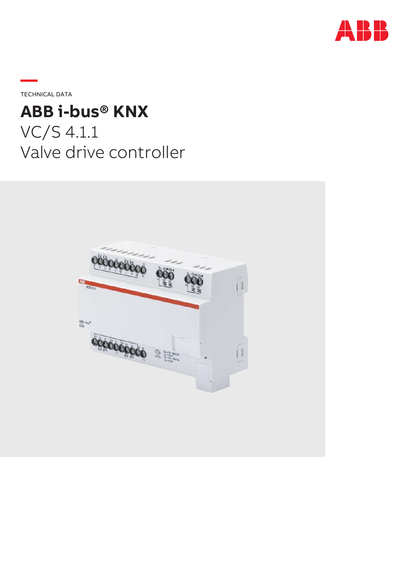

**—**TECHNICAL DATA

# **ABB i-bus® KNX**

VC/S 4.1.1 Valve drive controller

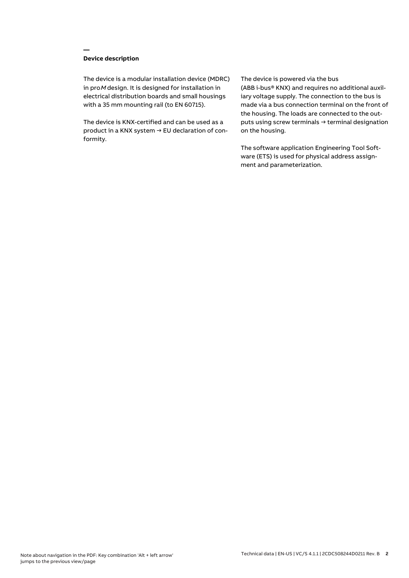## **Device description**

**—**

The device is a modular installation device (MDRC) in proM design. It is designed for installation in electrical distribution boards and small housings with a 35 mm mounting rail (to EN 60715).

The device is KNX-certified and can be used as a product in a KNX system → EU declaration of conformity.

#### The device is powered via the bus

(ABB i-bus® KNX) and requires no additional auxiliary voltage supply. The connection to the bus is made via a bus connection terminal on the front of the housing. The loads are connected to the outputs using screw terminals → terminal designation on the housing.

The software application Engineering Tool Software (ETS) is used for physical address assignment and parameterization.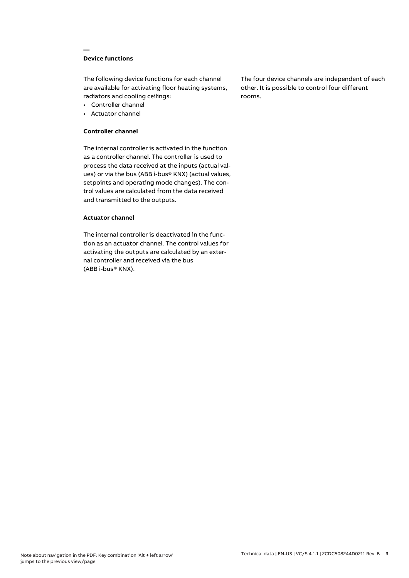## **Device functions**

**—**

The following device functions for each channel are available for activating floor heating systems, radiators and cooling ceilings:

- Controller channel
- Actuator channel

#### **Controller channel**

The internal controller is activated in the function as a controller channel. The controller is used to process the data received at the inputs (actual values) or via the bus (ABB i-bus® KNX) (actual values, setpoints and operating mode changes). The control values are calculated from the data received and transmitted to the outputs.

#### **Actuator channel**

The internal controller is deactivated in the function as an actuator channel. The control values for activating the outputs are calculated by an external controller and received via the bus (ABB i-bus® KNX).

The four device channels are independent of each other. It is possible to control four different rooms.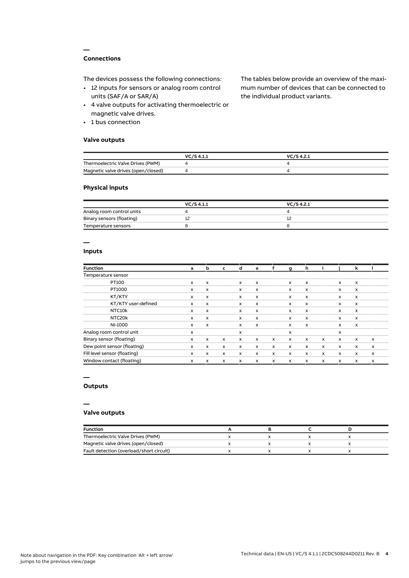## **Connections**

**—**

The devices possess the following connections:

- 12 inputs for sensors or analog room control units (SAF/A or SAR/A)
- 4 valve outputs for activating thermoelectric or magnetic valve drives.
- 1 bus connection

## **Valve outputs**

The tables below provide an overview of the maximum number of devices that can be connected to the individual product variants.

|                                     | VC/S 4.1.1 | VC/S 4.2.1 |
|-------------------------------------|------------|------------|
| Thermoelectric Valve Drives (PWM)   |            |            |
| Magnetic valve drives (open/closed) |            |            |

#### **Physical inputs**

|                           | VC/S 4.1.1 | VC/S 4.2.1 |  |
|---------------------------|------------|------------|--|
| Analog room control units |            |            |  |
| Binary sensors (floating) |            |            |  |
| Temperature sensors       |            |            |  |

## **—**

## **Inputs**

| <b>Function</b>              | a                         | b                         | c            | d                         | e                         | f            | a            | h                         |   |              | k            |   |
|------------------------------|---------------------------|---------------------------|--------------|---------------------------|---------------------------|--------------|--------------|---------------------------|---|--------------|--------------|---|
| Temperature sensor           |                           |                           |              |                           |                           |              |              |                           |   |              |              |   |
| PT100                        | x                         | x                         |              | X                         | x                         |              | x            | X                         |   | x            | x            |   |
| PT1000                       | x                         | x                         |              | $\boldsymbol{\mathsf{x}}$ | x                         |              | x            | X                         |   | x            | X            |   |
| KT/KTY                       | x                         | x                         |              | x                         | $\boldsymbol{\mathsf{x}}$ |              | x            | $\boldsymbol{\mathsf{x}}$ |   | x            | X            |   |
| KT/KTY user-defined          | $\boldsymbol{\mathsf{x}}$ | $\boldsymbol{\mathsf{x}}$ |              | $\boldsymbol{\mathsf{x}}$ | $\boldsymbol{\mathsf{x}}$ |              | x            | $\mathsf{x}$              |   | x            | $\times$     |   |
| NTC <sub>10</sub> k          | x                         | x                         |              | $\boldsymbol{\mathsf{x}}$ | x                         |              | x            | $\mathsf{x}$              |   | x            | x            |   |
| NTC20k                       | x                         | x                         |              | $\boldsymbol{\mathsf{x}}$ | $\boldsymbol{\mathsf{x}}$ |              | x            | $\mathsf{x}$              |   | x            | x            |   |
| NI-1000                      | x                         | X                         |              | $\boldsymbol{\mathsf{x}}$ | $\boldsymbol{\mathsf{x}}$ |              | x            | $\boldsymbol{\mathsf{x}}$ |   | x            | $\mathsf{x}$ |   |
| Analog room control unit     | x                         |                           |              | X                         |                           |              | x            |                           |   | x            |              |   |
| Binary sensor (floating)     | x                         | x                         | $\mathsf{x}$ | x                         | $\boldsymbol{\mathsf{x}}$ | $\mathsf{x}$ | $\mathsf{x}$ | X                         | x | $\mathsf{x}$ | x            | x |
| Dew point sensor (floating)  | x                         | x                         | x            | $\boldsymbol{\mathsf{x}}$ | $\boldsymbol{\mathsf{x}}$ | $\times$     | x            | $\times$                  | x | x            | x            | x |
| Fill level sensor (floating) | x                         | x                         | x            | x                         | x                         | x            | x            | $\mathsf{x}$              | x | x            | x            | x |
| Window contact (floating)    | x                         | x                         | x            | x                         | X                         | x            | x            | $\mathsf{x}$              | x | x            | x            | X |

#### **—**

## **Outputs**

#### **—**

#### **Valve outputs**

| <b>Function</b>                          |  |  |
|------------------------------------------|--|--|
| Thermoelectric Valve Drives (PWM)        |  |  |
| Magnetic valve drives (open/closed)      |  |  |
| Fault detection (overload/short circuit) |  |  |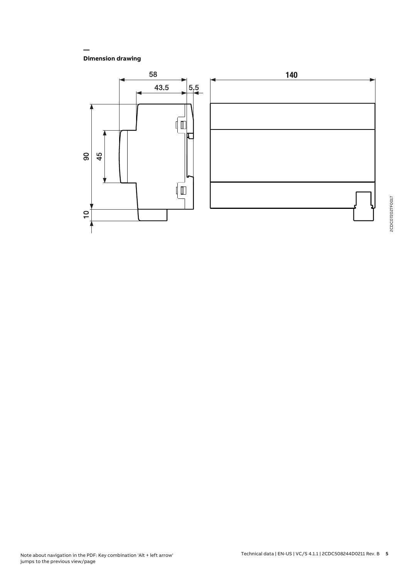**Dimension drawing**

**—**

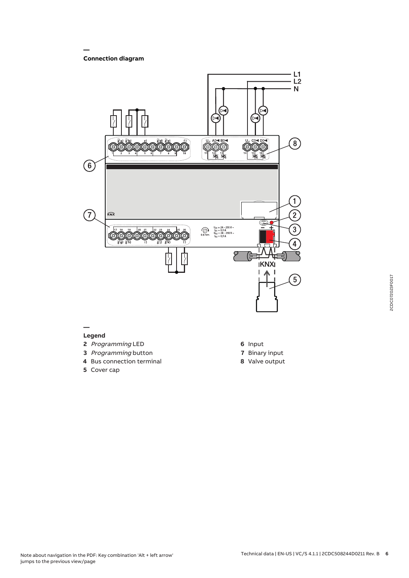#### **— Connection diagram**



- 
- **3** Programming button
- **4** Bus connection terminal
- **5** Cover cap
- **7** Binary input
- **8** Valve output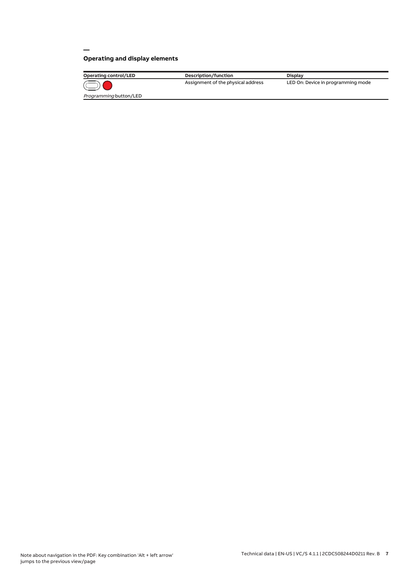## **Operating and display elements**

**—**

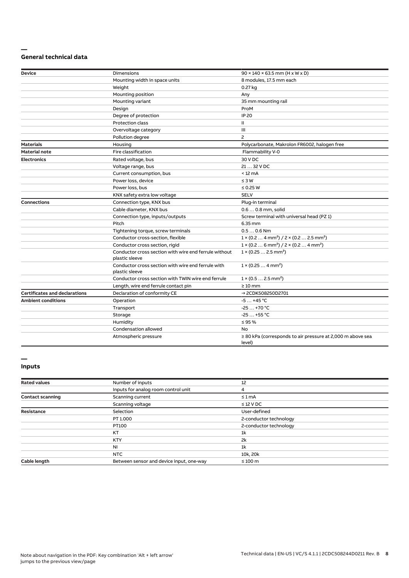#### **— General technical data**

| <b>Device</b>                        | <b>Dimensions</b>                                                       | $90 \times 140 \times 63.5$ mm (H x W x D)                                      |  |  |  |  |
|--------------------------------------|-------------------------------------------------------------------------|---------------------------------------------------------------------------------|--|--|--|--|
|                                      | Mounting width in space units                                           | 8 modules, 17.5 mm each                                                         |  |  |  |  |
|                                      | Weight                                                                  | 0.27 kg                                                                         |  |  |  |  |
|                                      | Mounting position                                                       | Any                                                                             |  |  |  |  |
|                                      | Mounting variant                                                        | 35 mm mounting rail                                                             |  |  |  |  |
|                                      | Design                                                                  | ProM                                                                            |  |  |  |  |
|                                      | Degree of protection                                                    | <b>IP 20</b>                                                                    |  |  |  |  |
|                                      | <b>Protection class</b>                                                 | Ш                                                                               |  |  |  |  |
|                                      | Overvoltage category                                                    | Ш                                                                               |  |  |  |  |
|                                      | Pollution degree                                                        | $\overline{c}$                                                                  |  |  |  |  |
| <b>Materials</b>                     | Housing                                                                 | Polycarbonate, Makrolon FR6002, halogen free                                    |  |  |  |  |
| <b>Material note</b>                 | Fire classification                                                     | Flammability V-0                                                                |  |  |  |  |
| <b>Electronics</b>                   | Rated voltage, bus                                                      | 30 V DC                                                                         |  |  |  |  |
|                                      | Voltage range, bus                                                      | 21  32 V DC                                                                     |  |  |  |  |
|                                      | Current consumption, bus                                                | $< 12 \text{ mA}$                                                               |  |  |  |  |
|                                      | Power loss, device                                                      | $\leq 3 W$                                                                      |  |  |  |  |
|                                      | Power loss, bus                                                         | $\leq$ 0.25 W                                                                   |  |  |  |  |
|                                      | KNX safety extra low voltage                                            | <b>SELV</b>                                                                     |  |  |  |  |
| <b>Connections</b>                   | Connection type, KNX bus                                                | Plug-in terminal                                                                |  |  |  |  |
|                                      | Cable diameter, KNX bus                                                 | 0.6  0.8 mm, solid                                                              |  |  |  |  |
|                                      | Connection type, inputs/outputs                                         | Screw terminal with universal head (PZ 1)                                       |  |  |  |  |
|                                      | Pitch                                                                   | 6.35 mm                                                                         |  |  |  |  |
|                                      | Tightening torque, screw terminals                                      | $0.50.6$ Nm                                                                     |  |  |  |  |
|                                      | Conductor cross-section, flexible                                       | $1 \times (0.2 \ldots 4 \text{ mm}^2) / 2 \times (0.2 \ldots 2.5 \text{ mm}^2)$ |  |  |  |  |
|                                      | Conductor cross section, rigid                                          | $1 \times (0.2 \ldots 6 \text{ mm}^2) / 2 \times (0.2 \ldots 4 \text{ mm}^2)$   |  |  |  |  |
|                                      | Conductor cross section with wire end ferrule without<br>plastic sleeve | $1 \times (0.252.5 \text{ mm}^2)$                                               |  |  |  |  |
|                                      | Conductor cross section with wire end ferrule with<br>plastic sleeve    | $1 \times (0.254 \text{ mm}^2)$                                                 |  |  |  |  |
|                                      | Conductor cross section with TWIN wire end ferrule                      | $1 \times (0.52.5)$ mm <sup>2</sup> )                                           |  |  |  |  |
|                                      | Length, wire end ferrule contact pin                                    | $\geq 10$ mm                                                                    |  |  |  |  |
| <b>Certificates and declarations</b> | Declaration of conformity CE                                            | → 2CDK508250D2701                                                               |  |  |  |  |
| <b>Ambient conditions</b>            | Operation                                                               | $-5+45$ °C                                                                      |  |  |  |  |
|                                      | Transport                                                               | $-25+70 °C$                                                                     |  |  |  |  |
|                                      | Storage                                                                 | $-25+55$ °C                                                                     |  |  |  |  |
|                                      | Humidity                                                                | $\leq$ 95 %                                                                     |  |  |  |  |
|                                      | Condensation allowed                                                    | No                                                                              |  |  |  |  |
|                                      | Atmospheric pressure                                                    | $\geq$ 80 kPa (corresponds to air pressure at 2,000 m above sea<br>level)       |  |  |  |  |

#### **— Inputs**

### **Rated values** 12<br> **Rated values** 12<br> **Rated values** 12<br> **IPULS** for analog room control unit Inputs for analog room control unit 4 The Contact scanning<br>
Scanning current ≤ 1 mA Scanning voltage ≤ 12 V DC **Resistance** Selection Selection User-defined User-defined User-defined PT 1.000 2-conductor t 2-conductor technology PT100 2-conductor technology KT  $1k$ KTY 2k  $N$ I  $1$ k NTC 10k, 20k Cable length Between sensor and device input, one-way ≤ 100 m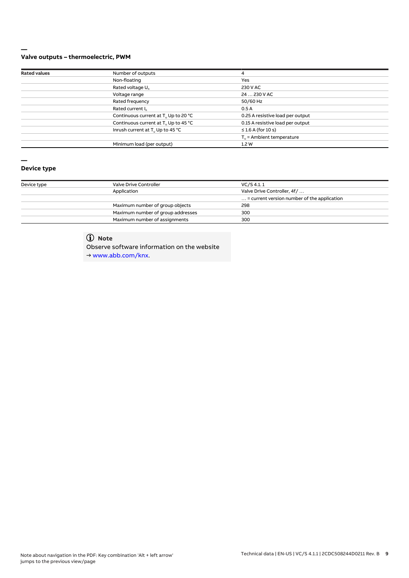#### **— Valve outputs – thermoelectric, PWM**

| <b>Rated values</b> | Number of outputs                                | 4                                    |
|---------------------|--------------------------------------------------|--------------------------------------|
|                     | Non-floating                                     | Yes                                  |
|                     | Rated voltage U <sub>n</sub>                     | 230 V AC                             |
|                     | Voltage range                                    | 24  230 V AC                         |
|                     | Rated frequency                                  | 50/60 Hz                             |
|                     | Rated current I <sub>n</sub>                     | 0.5A                                 |
|                     | Continuous current at T <sub>u</sub> Up to 20 °C | 0.25 A resistive load per output     |
|                     | Continuous current at T <sub>u</sub> Up to 45 °C | 0.15 A resistive load per output     |
|                     | Inrush current at T <sub>u</sub> Up to 45 °C     | $\leq$ 1.6 A (for 10 s)              |
|                     |                                                  | $T_{\text{u}}$ = Ambient temperature |
|                     | Minimum load (per output)                        | 1.2W                                 |

# **—**

## **Device type**

| Device type | Valve Drive Controller            | VC/S 4.1.1                                           |  |  |  |  |
|-------------|-----------------------------------|------------------------------------------------------|--|--|--|--|
|             | Application                       | Valve Drive Controller, 4f/                          |  |  |  |  |
|             |                                   | $\ldots$ = current version number of the application |  |  |  |  |
|             | Maximum number of group objects   | 298                                                  |  |  |  |  |
|             | Maximum number of group addresses | 300                                                  |  |  |  |  |
|             | Maximum number of assignments     | 300                                                  |  |  |  |  |

# **Note**

Observe software information on the website

→ www.abb.com/knx.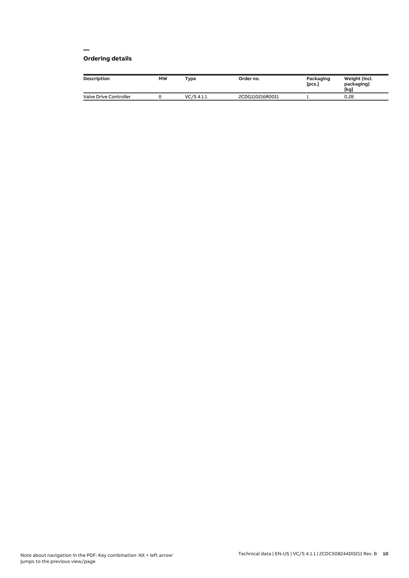#### **— Ordering details**

| Description                   | <b>MW</b> | Type       | Order no.       | Packaging<br>[pcs.] | Weight (incl.<br>packaging)<br>[kg] |
|-------------------------------|-----------|------------|-----------------|---------------------|-------------------------------------|
| <b>Valve Drive Controller</b> |           | VC/S 4.1.1 | 2CDG110216R0011 |                     | 0.28                                |